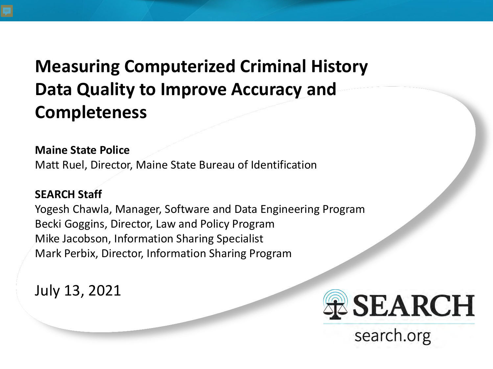#### **Measuring Computerized Criminal History Data Quality to Improve Accuracy and Completeness**

#### **Maine State Police**

Matt Ruel, Director, Maine State Bureau of Identification

#### **SEARCH Staff**

Yogesh Chawla, Manager, Software and Data Engineering Program Becki Goggins, Director, Law and Policy Program Mike Jacobson, Information Sharing Specialist Mark Perbix, Director, Information Sharing Program

July 13, 2021



search.org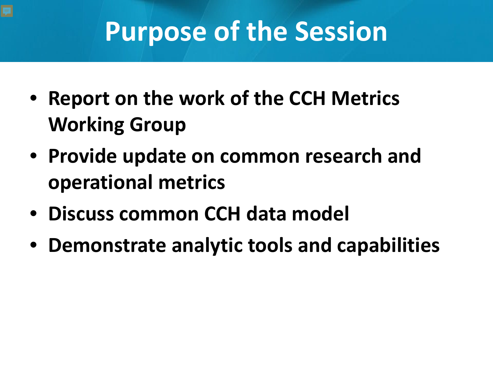## **Purpose of the Session**

- **Report on the work of the CCH Metrics Working Group**
- **Provide update on common research and operational metrics**
- **Discuss common CCH data model**
- **Demonstrate analytic tools and capabilities**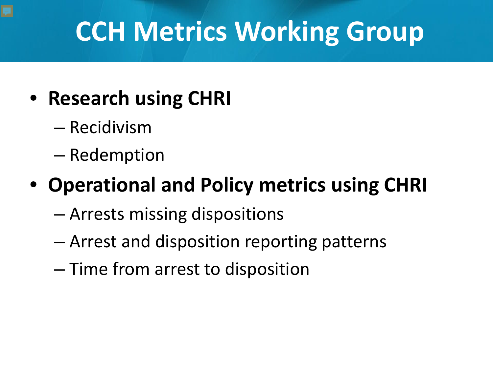# **CCH Metrics Working Group**

#### • **Research using CHRI**

- Recidivism
- Redemption

#### • **Operational and Policy metrics using CHRI**

- Arrests missing dispositions
- Arrest and disposition reporting patterns
- Time from arrest to disposition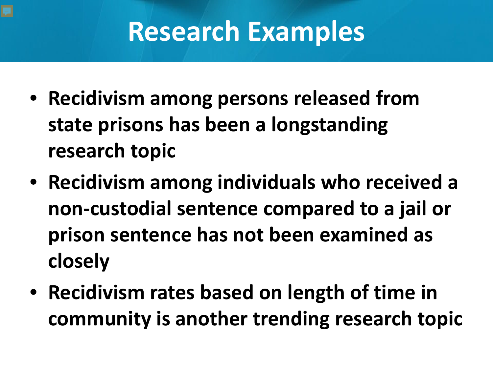### **Research Examples**

- **Recidivism among persons released from state prisons has been a longstanding research topic**
- **Recidivism among individuals who received a non-custodial sentence compared to a jail or prison sentence has not been examined as closely**
- **Recidivism rates based on length of time in community is another trending research topic**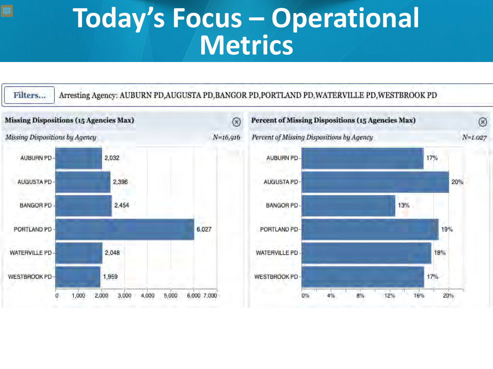#### **Today's Focus – Operational Metrics**

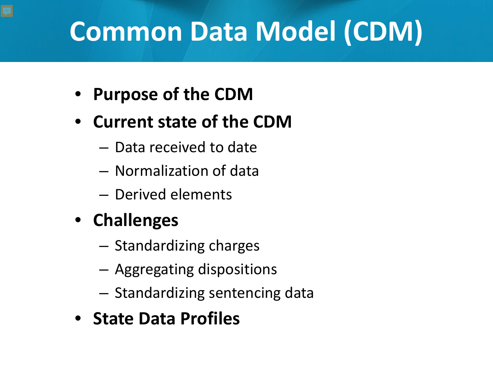## **Common Data Model (CDM)**

- **Purpose of the CDM**
- **Current state of the CDM**
	- Data received to date
	- Normalization of data
	- Derived elements
- **Challenges**
	- Standardizing charges
	- Aggregating dispositions
	- Standardizing sentencing data
- **State Data Profiles**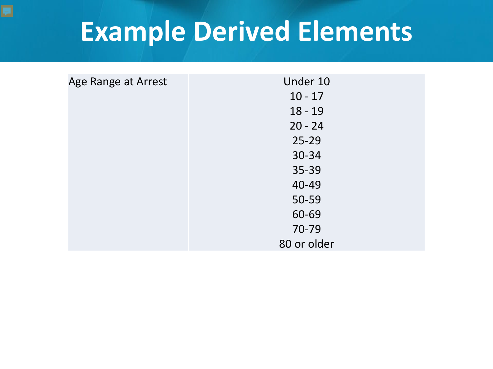### **Example Derived Elements**

| Age Range at Arrest | Under 10    |
|---------------------|-------------|
|                     | $10 - 17$   |
|                     | $18 - 19$   |
|                     | $20 - 24$   |
|                     | $25 - 29$   |
|                     | 30-34       |
|                     | $35 - 39$   |
|                     | 40-49       |
|                     | 50-59       |
|                     | 60-69       |
|                     | 70-79       |
|                     | 80 or older |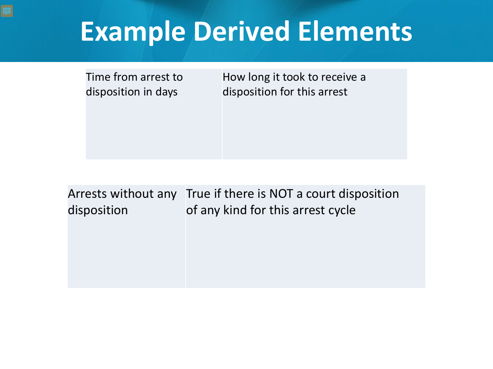### **Example Derived Elements**

Time from arrest to disposition in days

How long it took to receive a disposition for this arrest

Arrests without any True if there is NOT a court disposition disposition of any kind for this arrest cycle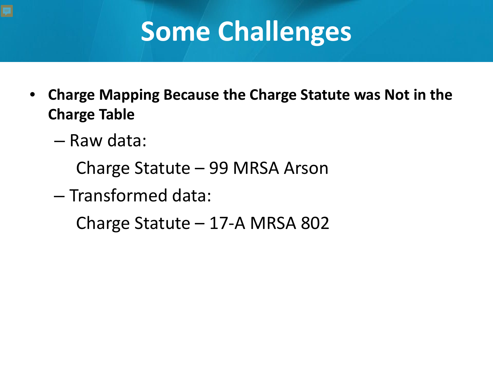## **Some Challenges**

- **Charge Mapping Because the Charge Statute was Not in the Charge Table**
	- Raw data:
		- Charge Statute 99 MRSA Arson
	- Transformed data:

Charge Statute – 17-A MRSA 802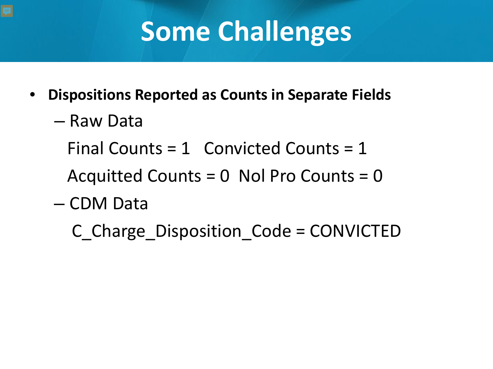## **Some Challenges**

- **Dispositions Reported as Counts in Separate Fields**
	- Raw Data
		- Final Counts =  $1$  Convicted Counts =  $1$

Acquitted Counts = 0 Nol Pro Counts = 0

- CDM Data
	- C\_Charge\_Disposition\_Code = CONVICTED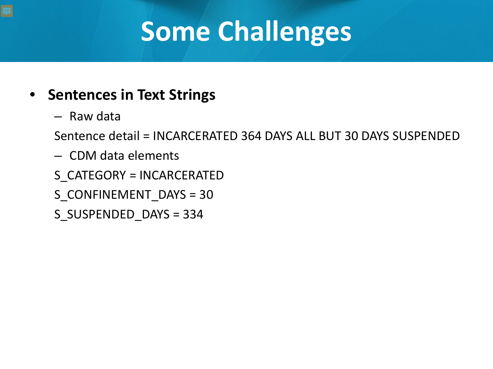# **Some Challenges**

#### • **Sentences in Text Strings**

– Raw data

Sentence detail = INCARCERATED 364 DAYS ALL BUT 30 DAYS SUSPENDED

- CDM data elements
- S\_CATEGORY = INCARCERATED
- S\_CONFINEMENT\_DAYS = 30
- S\_SUSPENDED\_DAYS = 334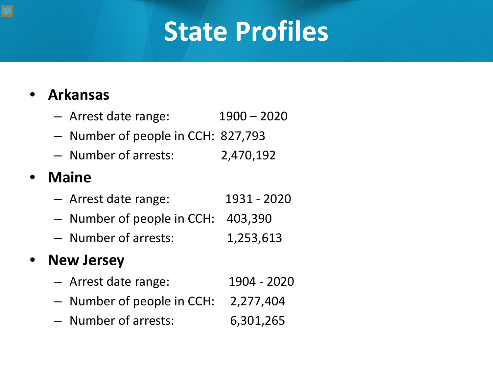### **State Profiles**

#### • **Arkansas**

- Arrest date range: 1900 2020
- Number of people in CCH: 827,793
- Number of arrests: 2,470,192

#### • **Maine**

- Arrest date range: 1931 2020
- Number of people in CCH: 403,390
- Number of arrests: 1,253,613

#### • **New Jersey**

- Arrest date range: 1904 2020
- Number of people in CCH: 2,277,404
- Number of arrests: 6,301,265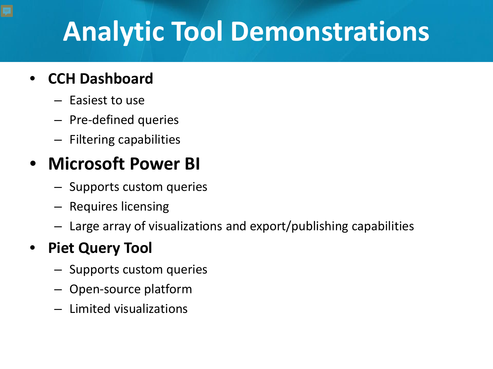# **Analytic Tool Demonstrations**

#### • **CCH Dashboard**

- Easiest to use
- Pre-defined queries
- Filtering capabilities

#### • **Microsoft Power BI**

- Supports custom queries
- Requires licensing
- Large array of visualizations and export/publishing capabilities

#### • **Piet Query Tool**

- Supports custom queries
- Open-source platform
- Limited visualizations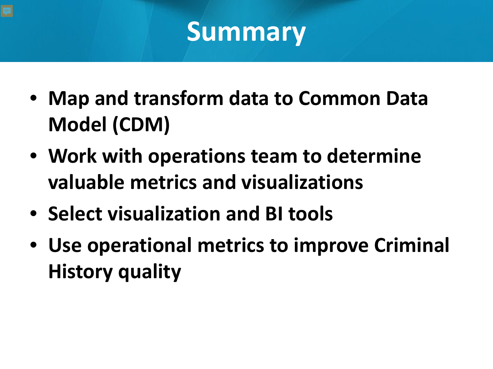#### **Summary**

- **Map and transform data to Common Data Model (CDM)**
- **Work with operations team to determine valuable metrics and visualizations**
- **Select visualization and BI tools**
- **Use operational metrics to improve Criminal History quality**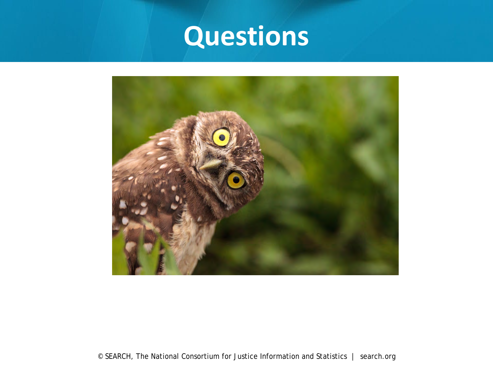### **Questions**